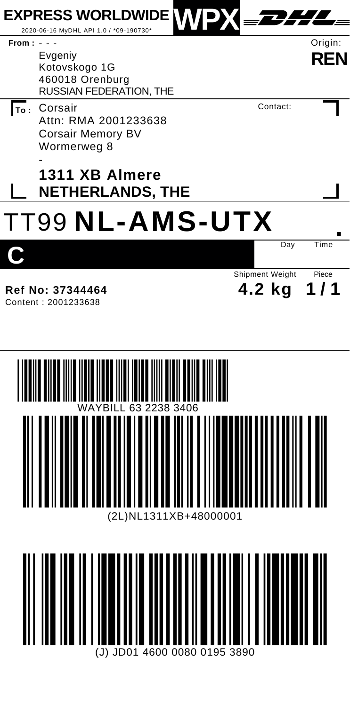